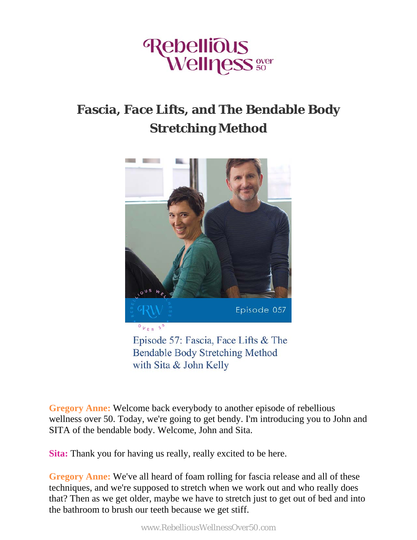

## **Fascia, Face Lifts, and The Bendable Body Stretching Method**



**Bendable Body Stretching Method** with Sita & John Kelly

**Gregory Anne:** Welcome back everybody to another episode of rebellious wellness over 50. Today, we're going to get bendy. I'm introducing you to John and SITA of the bendable body. Welcome, John and Sita.

**Sita:** Thank you for having us really, really excited to be here.

**Gregory Anne:** We've all heard of foam rolling for fascia release and all of these techniques, and we're supposed to stretch when we work out and who really does that? Then as we get older, maybe we have to stretch just to get out of bed and into the bathroom to brush our teeth because we get stiff.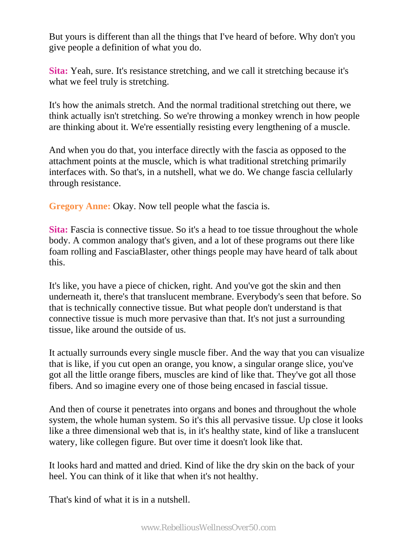But yours is different than all the things that I've heard of before. Why don't you give people a definition of what you do.

**Sita:** Yeah, sure. It's resistance stretching, and we call it stretching because it's what we feel truly is stretching.

It's how the animals stretch. And the normal traditional stretching out there, we think actually isn't stretching. So we're throwing a monkey wrench in how people are thinking about it. We're essentially resisting every lengthening of a muscle.

And when you do that, you interface directly with the fascia as opposed to the attachment points at the muscle, which is what traditional stretching primarily interfaces with. So that's, in a nutshell, what we do. We change fascia cellularly through resistance.

**Gregory Anne:** Okay. Now tell people what the fascia is.

**Sita:** Fascia is connective tissue. So it's a head to toe tissue throughout the whole body. A common analogy that's given, and a lot of these programs out there like foam rolling and FasciaBlaster, other things people may have heard of talk about this.

It's like, you have a piece of chicken, right. And you've got the skin and then underneath it, there's that translucent membrane. Everybody's seen that before. So that is technically connective tissue. But what people don't understand is that connective tissue is much more pervasive than that. It's not just a surrounding tissue, like around the outside of us.

It actually surrounds every single muscle fiber. And the way that you can visualize that is like, if you cut open an orange, you know, a singular orange slice, you've got all the little orange fibers, muscles are kind of like that. They've got all those fibers. And so imagine every one of those being encased in fascial tissue.

And then of course it penetrates into organs and bones and throughout the whole system, the whole human system. So it's this all pervasive tissue. Up close it looks like a three dimensional web that is, in it's healthy state, kind of like a translucent watery, like collegen figure. But over time it doesn't look like that.

It looks hard and matted and dried. Kind of like the dry skin on the back of your heel. You can think of it like that when it's not healthy.

That's kind of what it is in a nutshell.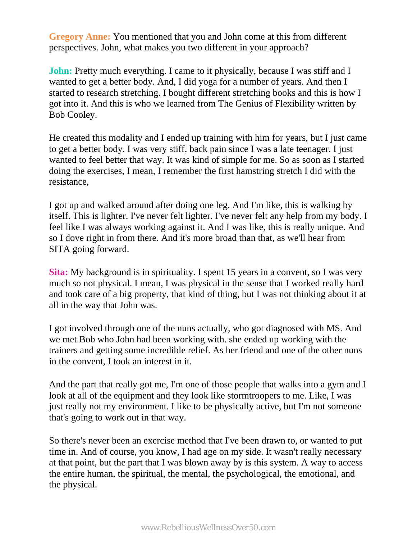**Gregory Anne:** You mentioned that you and John come at this from different perspectives. John, what makes you two different in your approach?

**John:** Pretty much everything. I came to it physically, because I was stiff and I wanted to get a better body. And, I did yoga for a number of years. And then I started to research stretching. I bought different stretching books and this is how I got into it. And this is who we learned from The Genius of Flexibility written by Bob Cooley.

He created this modality and I ended up training with him for years, but I just came to get a better body. I was very stiff, back pain since I was a late teenager. I just wanted to feel better that way. It was kind of simple for me. So as soon as I started doing the exercises, I mean, I remember the first hamstring stretch I did with the resistance,

I got up and walked around after doing one leg. And I'm like, this is walking by itself. This is lighter. I've never felt lighter. I've never felt any help from my body. I feel like I was always working against it. And I was like, this is really unique. And so I dove right in from there. And it's more broad than that, as we'll hear from SITA going forward.

**Sita:** My background is in spirituality. I spent 15 years in a convent, so I was very much so not physical. I mean, I was physical in the sense that I worked really hard and took care of a big property, that kind of thing, but I was not thinking about it at all in the way that John was.

I got involved through one of the nuns actually, who got diagnosed with MS. And we met Bob who John had been working with. she ended up working with the trainers and getting some incredible relief. As her friend and one of the other nuns in the convent, I took an interest in it.

And the part that really got me, I'm one of those people that walks into a gym and I look at all of the equipment and they look like stormtroopers to me. Like, I was just really not my environment. I like to be physically active, but I'm not someone that's going to work out in that way.

So there's never been an exercise method that I've been drawn to, or wanted to put time in. And of course, you know, I had age on my side. It wasn't really necessary at that point, but the part that I was blown away by is this system. A way to access the entire human, the spiritual, the mental, the psychological, the emotional, and the physical.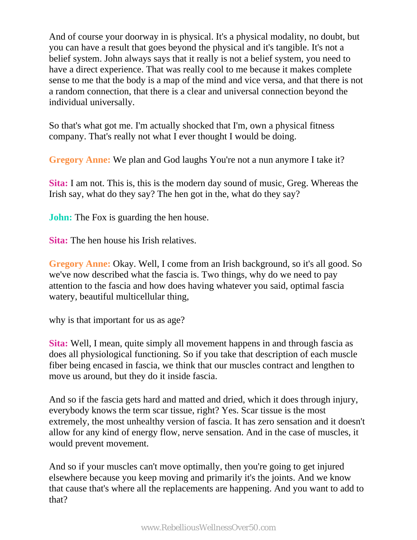And of course your doorway in is physical. It's a physical modality, no doubt, but you can have a result that goes beyond the physical and it's tangible. It's not a belief system. John always says that it really is not a belief system, you need to have a direct experience. That was really cool to me because it makes complete sense to me that the body is a map of the mind and vice versa, and that there is not a random connection, that there is a clear and universal connection beyond the individual universally.

So that's what got me. I'm actually shocked that I'm, own a physical fitness company. That's really not what I ever thought I would be doing.

**Gregory Anne:** We plan and God laughs You're not a nun anymore I take it?

**Sita:** I am not. This is, this is the modern day sound of music, Greg. Whereas the Irish say, what do they say? The hen got in the, what do they say?

**John:** The Fox is guarding the hen house.

**Sita:** The hen house his Irish relatives.

**Gregory Anne:** Okay. Well, I come from an Irish background, so it's all good. So we've now described what the fascia is. Two things, why do we need to pay attention to the fascia and how does having whatever you said, optimal fascia watery, beautiful multicellular thing,

why is that important for us as age?

**Sita:** Well, I mean, quite simply all movement happens in and through fascia as does all physiological functioning. So if you take that description of each muscle fiber being encased in fascia, we think that our muscles contract and lengthen to move us around, but they do it inside fascia.

And so if the fascia gets hard and matted and dried, which it does through injury, everybody knows the term scar tissue, right? Yes. Scar tissue is the most extremely, the most unhealthy version of fascia. It has zero sensation and it doesn't allow for any kind of energy flow, nerve sensation. And in the case of muscles, it would prevent movement.

And so if your muscles can't move optimally, then you're going to get injured elsewhere because you keep moving and primarily it's the joints. And we know that cause that's where all the replacements are happening. And you want to add to that?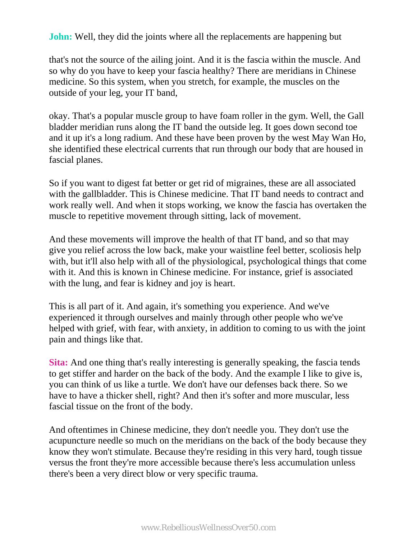**John:** Well, they did the joints where all the replacements are happening but

that's not the source of the ailing joint. And it is the fascia within the muscle. And so why do you have to keep your fascia healthy? There are meridians in Chinese medicine. So this system, when you stretch, for example, the muscles on the outside of your leg, your IT band,

okay. That's a popular muscle group to have foam roller in the gym. Well, the Gall bladder meridian runs along the IT band the outside leg. It goes down second toe and it up it's a long radium. And these have been proven by the west May Wan Ho, she identified these electrical currents that run through our body that are housed in fascial planes.

So if you want to digest fat better or get rid of migraines, these are all associated with the gallbladder. This is Chinese medicine. That IT band needs to contract and work really well. And when it stops working, we know the fascia has overtaken the muscle to repetitive movement through sitting, lack of movement.

And these movements will improve the health of that IT band, and so that may give you relief across the low back, make your waistline feel better, scoliosis help with, but it'll also help with all of the physiological, psychological things that come with it. And this is known in Chinese medicine. For instance, grief is associated with the lung, and fear is kidney and joy is heart.

This is all part of it. And again, it's something you experience. And we've experienced it through ourselves and mainly through other people who we've helped with grief, with fear, with anxiety, in addition to coming to us with the joint pain and things like that.

**Sita:** And one thing that's really interesting is generally speaking, the fascia tends to get stiffer and harder on the back of the body. And the example I like to give is, you can think of us like a turtle. We don't have our defenses back there. So we have to have a thicker shell, right? And then it's softer and more muscular, less fascial tissue on the front of the body.

And oftentimes in Chinese medicine, they don't needle you. They don't use the acupuncture needle so much on the meridians on the back of the body because they know they won't stimulate. Because they're residing in this very hard, tough tissue versus the front they're more accessible because there's less accumulation unless there's been a very direct blow or very specific trauma.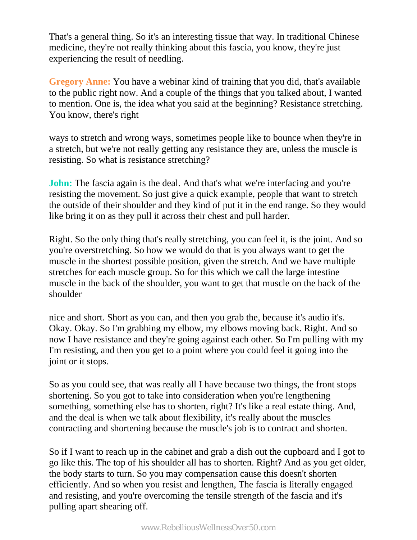That's a general thing. So it's an interesting tissue that way. In traditional Chinese medicine, they're not really thinking about this fascia, you know, they're just experiencing the result of needling.

**Gregory Anne:** You have a webinar kind of training that you did, that's available to the public right now. And a couple of the things that you talked about, I wanted to mention. One is, the idea what you said at the beginning? Resistance stretching. You know, there's right

ways to stretch and wrong ways, sometimes people like to bounce when they're in a stretch, but we're not really getting any resistance they are, unless the muscle is resisting. So what is resistance stretching?

**John:** The fascia again is the deal. And that's what we're interfacing and you're resisting the movement. So just give a quick example, people that want to stretch the outside of their shoulder and they kind of put it in the end range. So they would like bring it on as they pull it across their chest and pull harder.

Right. So the only thing that's really stretching, you can feel it, is the joint. And so you're overstretching. So how we would do that is you always want to get the muscle in the shortest possible position, given the stretch. And we have multiple stretches for each muscle group. So for this which we call the large intestine muscle in the back of the shoulder, you want to get that muscle on the back of the shoulder

nice and short. Short as you can, and then you grab the, because it's audio it's. Okay. Okay. So I'm grabbing my elbow, my elbows moving back. Right. And so now I have resistance and they're going against each other. So I'm pulling with my I'm resisting, and then you get to a point where you could feel it going into the joint or it stops.

So as you could see, that was really all I have because two things, the front stops shortening. So you got to take into consideration when you're lengthening something, something else has to shorten, right? It's like a real estate thing. And, and the deal is when we talk about flexibility, it's really about the muscles contracting and shortening because the muscle's job is to contract and shorten.

So if I want to reach up in the cabinet and grab a dish out the cupboard and I got to go like this. The top of his shoulder all has to shorten. Right? And as you get older, the body starts to turn. So you may compensation cause this doesn't shorten efficiently. And so when you resist and lengthen, The fascia is literally engaged and resisting, and you're overcoming the tensile strength of the fascia and it's pulling apart shearing off.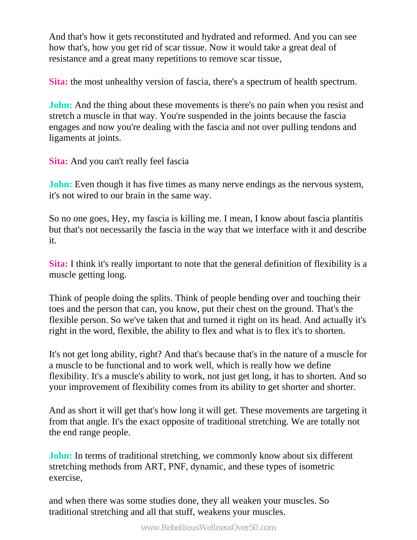And that's how it gets reconstituted and hydrated and reformed. And you can see how that's, how you get rid of scar tissue. Now it would take a great deal of resistance and a great many repetitions to remove scar tissue,

**Sita:** the most unhealthy version of fascia, there's a spectrum of health spectrum.

**John:** And the thing about these movements is there's no pain when you resist and stretch a muscle in that way. You're suspended in the joints because the fascia engages and now you're dealing with the fascia and not over pulling tendons and ligaments at joints.

**Sita:** And you can't really feel fascia

**John:** Even though it has five times as many nerve endings as the nervous system, it's not wired to our brain in the same way.

So no one goes, Hey, my fascia is killing me. I mean, I know about fascia plantitis but that's not necessarily the fascia in the way that we interface with it and describe it.

**Sita:** I think it's really important to note that the general definition of flexibility is a muscle getting long.

Think of people doing the splits. Think of people bending over and touching their toes and the person that can, you know, put their chest on the ground. That's the flexible person. So we've taken that and turned it right on its head. And actually it's right in the word, flexible, the ability to flex and what is to flex it's to shorten.

It's not get long ability, right? And that's because that's in the nature of a muscle for a muscle to be functional and to work well, which is really how we define flexibility. It's a muscle's ability to work, not just get long, it has to shorten. And so your improvement of flexibility comes from its ability to get shorter and shorter.

And as short it will get that's how long it will get. These movements are targeting it from that angle. It's the exact opposite of traditional stretching. We are totally not the end range people.

**John:** In terms of traditional stretching, we commonly know about six different stretching methods from ART, PNF, dynamic, and these types of isometric exercise,

and when there was some studies done, they all weaken your muscles. So traditional stretching and all that stuff, weakens your muscles.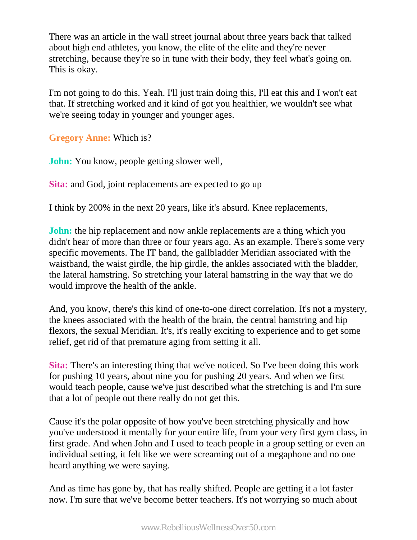There was an article in the wall street journal about three years back that talked about high end athletes, you know, the elite of the elite and they're never stretching, because they're so in tune with their body, they feel what's going on. This is okay.

I'm not going to do this. Yeah. I'll just train doing this, I'll eat this and I won't eat that. If stretching worked and it kind of got you healthier, we wouldn't see what we're seeing today in younger and younger ages.

**Gregory Anne:** Which is?

**John:** You know, people getting slower well,

**Sita:** and God, joint replacements are expected to go up

I think by 200% in the next 20 years, like it's absurd. Knee replacements,

**John:** the hip replacement and now ankle replacements are a thing which you didn't hear of more than three or four years ago. As an example. There's some very specific movements. The IT band, the gallbladder Meridian associated with the waistband, the waist girdle, the hip girdle, the ankles associated with the bladder, the lateral hamstring. So stretching your lateral hamstring in the way that we do would improve the health of the ankle.

And, you know, there's this kind of one-to-one direct correlation. It's not a mystery, the knees associated with the health of the brain, the central hamstring and hip flexors, the sexual Meridian. It's, it's really exciting to experience and to get some relief, get rid of that premature aging from setting it all.

**Sita:** There's an interesting thing that we've noticed. So I've been doing this work for pushing 10 years, about nine you for pushing 20 years. And when we first would teach people, cause we've just described what the stretching is and I'm sure that a lot of people out there really do not get this.

Cause it's the polar opposite of how you've been stretching physically and how you've understood it mentally for your entire life, from your very first gym class, in first grade. And when John and I used to teach people in a group setting or even an individual setting, it felt like we were screaming out of a megaphone and no one heard anything we were saying.

And as time has gone by, that has really shifted. People are getting it a lot faster now. I'm sure that we've become better teachers. It's not worrying so much about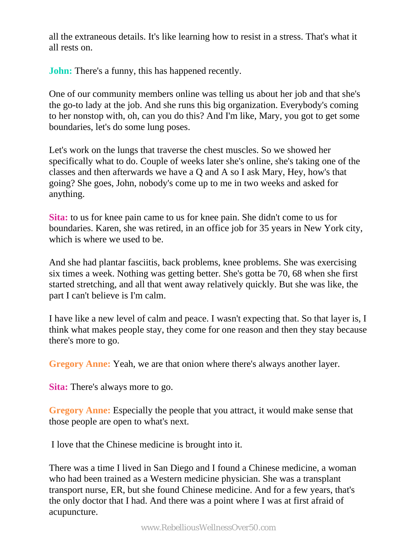all the extraneous details. It's like learning how to resist in a stress. That's what it all rests on.

**John:** There's a funny, this has happened recently.

One of our community members online was telling us about her job and that she's the go-to lady at the job. And she runs this big organization. Everybody's coming to her nonstop with, oh, can you do this? And I'm like, Mary, you got to get some boundaries, let's do some lung poses.

Let's work on the lungs that traverse the chest muscles. So we showed her specifically what to do. Couple of weeks later she's online, she's taking one of the classes and then afterwards we have a Q and A so I ask Mary, Hey, how's that going? She goes, John, nobody's come up to me in two weeks and asked for anything.

**Sita:** to us for knee pain came to us for knee pain. She didn't come to us for boundaries. Karen, she was retired, in an office job for 35 years in New York city, which is where we used to be.

And she had plantar fasciitis, back problems, knee problems. She was exercising six times a week. Nothing was getting better. She's gotta be 70, 68 when she first started stretching, and all that went away relatively quickly. But she was like, the part I can't believe is I'm calm.

I have like a new level of calm and peace. I wasn't expecting that. So that layer is, I think what makes people stay, they come for one reason and then they stay because there's more to go.

**Gregory Anne:** Yeah, we are that onion where there's always another layer.

**Sita:** There's always more to go.

**Gregory Anne:** Especially the people that you attract, it would make sense that those people are open to what's next.

I love that the Chinese medicine is brought into it.

There was a time I lived in San Diego and I found a Chinese medicine, a woman who had been trained as a Western medicine physician. She was a transplant transport nurse, ER, but she found Chinese medicine. And for a few years, that's the only doctor that I had. And there was a point where I was at first afraid of acupuncture.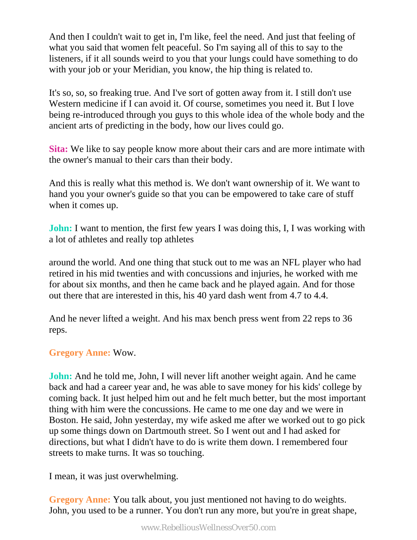And then I couldn't wait to get in, I'm like, feel the need. And just that feeling of what you said that women felt peaceful. So I'm saying all of this to say to the listeners, if it all sounds weird to you that your lungs could have something to do with your job or your Meridian, you know, the hip thing is related to.

It's so, so, so freaking true. And I've sort of gotten away from it. I still don't use Western medicine if I can avoid it. Of course, sometimes you need it. But I love being re-introduced through you guys to this whole idea of the whole body and the ancient arts of predicting in the body, how our lives could go.

**Sita:** We like to say people know more about their cars and are more intimate with the owner's manual to their cars than their body.

And this is really what this method is. We don't want ownership of it. We want to hand you your owner's guide so that you can be empowered to take care of stuff when it comes up.

**John:** I want to mention, the first few years I was doing this, I, I was working with a lot of athletes and really top athletes

around the world. And one thing that stuck out to me was an NFL player who had retired in his mid twenties and with concussions and injuries, he worked with me for about six months, and then he came back and he played again. And for those out there that are interested in this, his 40 yard dash went from 4.7 to 4.4.

And he never lifted a weight. And his max bench press went from 22 reps to 36 reps.

## **Gregory Anne:** Wow.

**John:** And he told me, John, I will never lift another weight again. And he came back and had a career year and, he was able to save money for his kids' college by coming back. It just helped him out and he felt much better, but the most important thing with him were the concussions. He came to me one day and we were in Boston. He said, John yesterday, my wife asked me after we worked out to go pick up some things down on Dartmouth street. So I went out and I had asked for directions, but what I didn't have to do is write them down. I remembered four streets to make turns. It was so touching.

I mean, it was just overwhelming.

**Gregory Anne:** You talk about, you just mentioned not having to do weights. John, you used to be a runner. You don't run any more, but you're in great shape,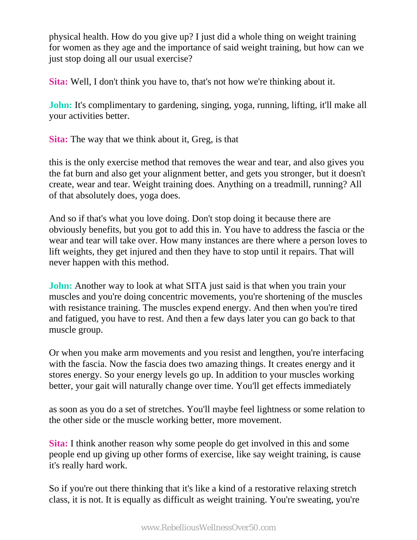physical health. How do you give up? I just did a whole thing on weight training for women as they age and the importance of said weight training, but how can we just stop doing all our usual exercise?

**Sita:** Well, I don't think you have to, that's not how we're thinking about it.

**John:** It's complimentary to gardening, singing, yoga, running, lifting, it'll make all your activities better.

**Sita:** The way that we think about it, Greg, is that

this is the only exercise method that removes the wear and tear, and also gives you the fat burn and also get your alignment better, and gets you stronger, but it doesn't create, wear and tear. Weight training does. Anything on a treadmill, running? All of that absolutely does, yoga does.

And so if that's what you love doing. Don't stop doing it because there are obviously benefits, but you got to add this in. You have to address the fascia or the wear and tear will take over. How many instances are there where a person loves to lift weights, they get injured and then they have to stop until it repairs. That will never happen with this method.

**John:** Another way to look at what SITA just said is that when you train your muscles and you're doing concentric movements, you're shortening of the muscles with resistance training. The muscles expend energy. And then when you're tired and fatigued, you have to rest. And then a few days later you can go back to that muscle group.

Or when you make arm movements and you resist and lengthen, you're interfacing with the fascia. Now the fascia does two amazing things. It creates energy and it stores energy. So your energy levels go up. In addition to your muscles working better, your gait will naturally change over time. You'll get effects immediately

as soon as you do a set of stretches. You'll maybe feel lightness or some relation to the other side or the muscle working better, more movement.

**Sita:** I think another reason why some people do get involved in this and some people end up giving up other forms of exercise, like say weight training, is cause it's really hard work.

So if you're out there thinking that it's like a kind of a restorative relaxing stretch class, it is not. It is equally as difficult as weight training. You're sweating, you're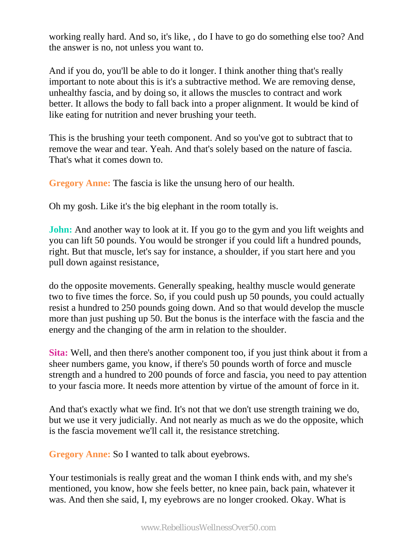working really hard. And so, it's like, , do I have to go do something else too? And the answer is no, not unless you want to.

And if you do, you'll be able to do it longer. I think another thing that's really important to note about this is it's a subtractive method. We are removing dense, unhealthy fascia, and by doing so, it allows the muscles to contract and work better. It allows the body to fall back into a proper alignment. It would be kind of like eating for nutrition and never brushing your teeth.

This is the brushing your teeth component. And so you've got to subtract that to remove the wear and tear. Yeah. And that's solely based on the nature of fascia. That's what it comes down to.

**Gregory Anne:** The fascia is like the unsung hero of our health.

Oh my gosh. Like it's the big elephant in the room totally is.

**John:** And another way to look at it. If you go to the gym and you lift weights and you can lift 50 pounds. You would be stronger if you could lift a hundred pounds, right. But that muscle, let's say for instance, a shoulder, if you start here and you pull down against resistance,

do the opposite movements. Generally speaking, healthy muscle would generate two to five times the force. So, if you could push up 50 pounds, you could actually resist a hundred to 250 pounds going down. And so that would develop the muscle more than just pushing up 50. But the bonus is the interface with the fascia and the energy and the changing of the arm in relation to the shoulder.

**Sita:** Well, and then there's another component too, if you just think about it from a sheer numbers game, you know, if there's 50 pounds worth of force and muscle strength and a hundred to 200 pounds of force and fascia, you need to pay attention to your fascia more. It needs more attention by virtue of the amount of force in it.

And that's exactly what we find. It's not that we don't use strength training we do, but we use it very judicially. And not nearly as much as we do the opposite, which is the fascia movement we'll call it, the resistance stretching.

**Gregory Anne:** So I wanted to talk about eyebrows.

Your testimonials is really great and the woman I think ends with, and my she's mentioned, you know, how she feels better, no knee pain, back pain, whatever it was. And then she said, I, my eyebrows are no longer crooked. Okay. What is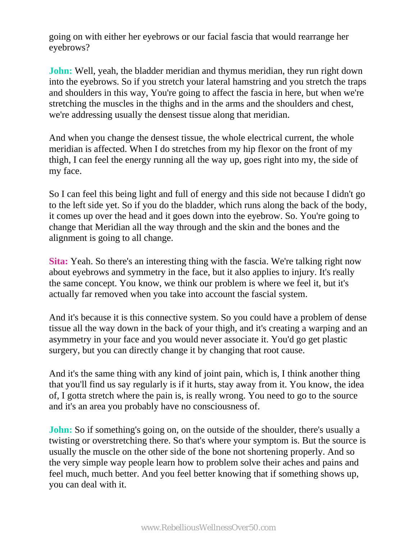going on with either her eyebrows or our facial fascia that would rearrange her eyebrows?

**John:** Well, yeah, the bladder meridian and thymus meridian, they run right down into the eyebrows. So if you stretch your lateral hamstring and you stretch the traps and shoulders in this way, You're going to affect the fascia in here, but when we're stretching the muscles in the thighs and in the arms and the shoulders and chest, we're addressing usually the densest tissue along that meridian.

And when you change the densest tissue, the whole electrical current, the whole meridian is affected. When I do stretches from my hip flexor on the front of my thigh, I can feel the energy running all the way up, goes right into my, the side of my face.

So I can feel this being light and full of energy and this side not because I didn't go to the left side yet. So if you do the bladder, which runs along the back of the body, it comes up over the head and it goes down into the eyebrow. So. You're going to change that Meridian all the way through and the skin and the bones and the alignment is going to all change.

**Sita:** Yeah. So there's an interesting thing with the fascia. We're talking right now about eyebrows and symmetry in the face, but it also applies to injury. It's really the same concept. You know, we think our problem is where we feel it, but it's actually far removed when you take into account the fascial system.

And it's because it is this connective system. So you could have a problem of dense tissue all the way down in the back of your thigh, and it's creating a warping and an asymmetry in your face and you would never associate it. You'd go get plastic surgery, but you can directly change it by changing that root cause.

And it's the same thing with any kind of joint pain, which is, I think another thing that you'll find us say regularly is if it hurts, stay away from it. You know, the idea of, I gotta stretch where the pain is, is really wrong. You need to go to the source and it's an area you probably have no consciousness of.

**John:** So if something's going on, on the outside of the shoulder, there's usually a twisting or overstretching there. So that's where your symptom is. But the source is usually the muscle on the other side of the bone not shortening properly. And so the very simple way people learn how to problem solve their aches and pains and feel much, much better. And you feel better knowing that if something shows up, you can deal with it.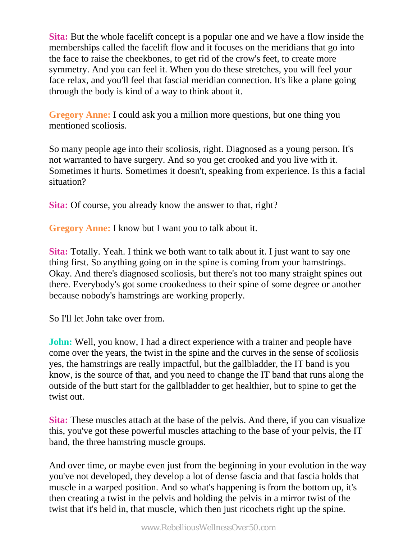**Sita:** But the whole facelift concept is a popular one and we have a flow inside the memberships called the facelift flow and it focuses on the meridians that go into the face to raise the cheekbones, to get rid of the crow's feet, to create more symmetry. And you can feel it. When you do these stretches, you will feel your face relax, and you'll feel that fascial meridian connection. It's like a plane going through the body is kind of a way to think about it.

**Gregory Anne:** I could ask you a million more questions, but one thing you mentioned scoliosis.

So many people age into their scoliosis, right. Diagnosed as a young person. It's not warranted to have surgery. And so you get crooked and you live with it. Sometimes it hurts. Sometimes it doesn't, speaking from experience. Is this a facial situation?

**Sita:** Of course, you already know the answer to that, right?

**Gregory Anne:** I know but I want you to talk about it.

**Sita:** Totally. Yeah. I think we both want to talk about it. I just want to say one thing first. So anything going on in the spine is coming from your hamstrings. Okay. And there's diagnosed scoliosis, but there's not too many straight spines out there. Everybody's got some crookedness to their spine of some degree or another because nobody's hamstrings are working properly.

So I'll let John take over from.

**John:** Well, you know, I had a direct experience with a trainer and people have come over the years, the twist in the spine and the curves in the sense of scoliosis yes, the hamstrings are really impactful, but the gallbladder, the IT band is you know, is the source of that, and you need to change the IT band that runs along the outside of the butt start for the gallbladder to get healthier, but to spine to get the twist out.

**Sita:** These muscles attach at the base of the pelvis. And there, if you can visualize this, you've got these powerful muscles attaching to the base of your pelvis, the IT band, the three hamstring muscle groups.

And over time, or maybe even just from the beginning in your evolution in the way you've not developed, they develop a lot of dense fascia and that fascia holds that muscle in a warped position. And so what's happening is from the bottom up, it's then creating a twist in the pelvis and holding the pelvis in a mirror twist of the twist that it's held in, that muscle, which then just ricochets right up the spine.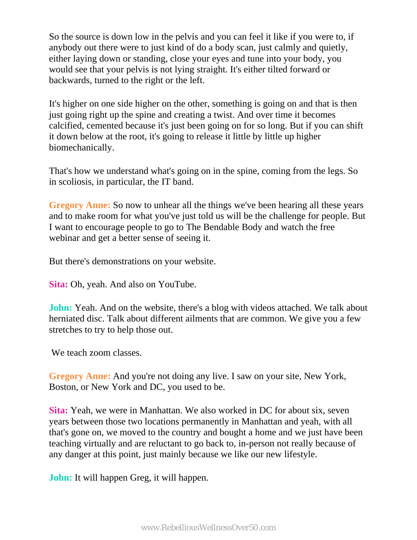So the source is down low in the pelvis and you can feel it like if you were to, if anybody out there were to just kind of do a body scan, just calmly and quietly, either laying down or standing, close your eyes and tune into your body, you would see that your pelvis is not lying straight. It's either tilted forward or backwards, turned to the right or the left.

It's higher on one side higher on the other, something is going on and that is then just going right up the spine and creating a twist. And over time it becomes calcified, cemented because it's just been going on for so long. But if you can shift it down below at the root, it's going to release it little by little up higher biomechanically.

That's how we understand what's going on in the spine, coming from the legs. So in scoliosis, in particular, the IT band.

**Gregory Anne:** So now to unhear all the things we've been hearing all these years and to make room for what you've just told us will be the challenge for people. But I want to encourage people to go to The Bendable Body and watch the free webinar and get a better sense of seeing it.

But there's demonstrations on your website.

**Sita:** Oh, yeah. And also on YouTube.

**John:** Yeah. And on the website, there's a blog with videos attached. We talk about herniated disc. Talk about different ailments that are common. We give you a few stretches to try to help those out.

We teach zoom classes.

**Gregory Anne:** And you're not doing any live. I saw on your site, New York, Boston, or New York and DC, you used to be.

**Sita:** Yeah, we were in Manhattan. We also worked in DC for about six, seven years between those two locations permanently in Manhattan and yeah, with all that's gone on, we moved to the country and bought a home and we just have been teaching virtually and are reluctant to go back to, in-person not really because of any danger at this point, just mainly because we like our new lifestyle.

**John:** It will happen Greg, it will happen.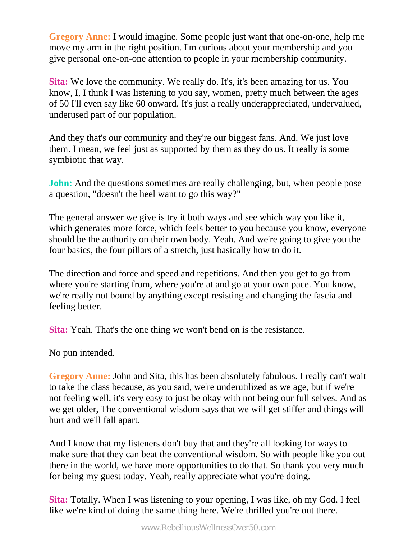**Gregory Anne:** I would imagine. Some people just want that one-on-one, help me move my arm in the right position. I'm curious about your membership and you give personal one-on-one attention to people in your membership community.

**Sita:** We love the community. We really do. It's, it's been amazing for us. You know, I, I think I was listening to you say, women, pretty much between the ages of 50 I'll even say like 60 onward. It's just a really underappreciated, undervalued, underused part of our population.

And they that's our community and they're our biggest fans. And. We just love them. I mean, we feel just as supported by them as they do us. It really is some symbiotic that way.

**John:** And the questions sometimes are really challenging, but, when people pose a question, "doesn't the heel want to go this way?"

The general answer we give is try it both ways and see which way you like it, which generates more force, which feels better to you because you know, everyone should be the authority on their own body. Yeah. And we're going to give you the four basics, the four pillars of a stretch, just basically how to do it.

The direction and force and speed and repetitions. And then you get to go from where you're starting from, where you're at and go at your own pace. You know, we're really not bound by anything except resisting and changing the fascia and feeling better.

**Sita:** Yeah. That's the one thing we won't bend on is the resistance.

No pun intended.

**Gregory Anne:** John and Sita, this has been absolutely fabulous. I really can't wait to take the class because, as you said, we're underutilized as we age, but if we're not feeling well, it's very easy to just be okay with not being our full selves. And as we get older, The conventional wisdom says that we will get stiffer and things will hurt and we'll fall apart.

And I know that my listeners don't buy that and they're all looking for ways to make sure that they can beat the conventional wisdom. So with people like you out there in the world, we have more opportunities to do that. So thank you very much for being my guest today. Yeah, really appreciate what you're doing.

**Sita:** Totally. When I was listening to your opening, I was like, oh my God. I feel like we're kind of doing the same thing here. We're thrilled you're out there.